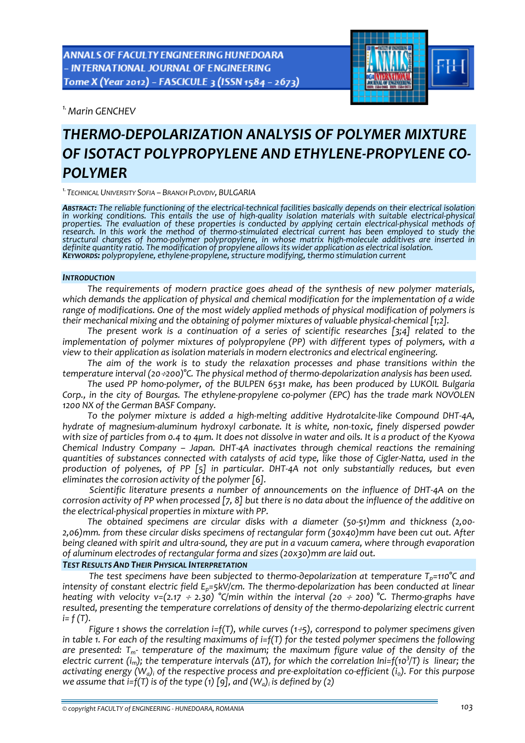*1.Marin GENCHEV* 

# *THERMO‐DEPOLARIZATION ANALYSIS OF POLYMER MIXTURE OF ISOTACT POLYPROPYLENE AND ETHYLENE‐PROPYLENE CO‐ POLYMER*

*1.TECHNICAL UNIVERSITY SOFIA – BRANCH PLOVDIV, BULGARIA*

ABSTRACT: The reliable functioning of the electrical-technical facilities basically depends on their electrical isolation in working conditions. This entails the use of high-quality isolation materials with suitable electrical-physical properties. The evaluation of these properties is conducted by applying certain electrical-physical methods of<br>research. In this work the method of thermo-stimulated electrical current has been employed to study the *structural changes of homo‐polymer polypropylene, in whose matrix high‐molecule additives are inserted in* definite quantity ratio. The modification of propylene allows its wider application as electrical isolation.<br>Keywords: polypropylene, ethylene-propylene, structure modifying, thermo stimulation current

#### *INTRODUCTION*

*The requirements of modern practice goes ahead of the synthesis of new polymer materials, which demands the application of physical and chemical modification for the implementation of a wide range of modifications. One of the most widely applied methods of physical modification of polymers is their mechanical mixing and the obtaining of polymer mixtures of valuable physical‐chemical [1;2].*

*The present work is a continuation of a series of scientific researches [3;4] related to the implementation of polymer mixtures of polypropylene (PP) with different types of polymers, with a view to their application as isolation materials in modern electronics and electrical engineering.*

*The aim of the work is to study the relaxation processes and phase transitions within the temperature interval (20*÷*200)°C. The physical method of thermo‐depolarization analysis has been used.* 

*The used PP homo‐polymer, of the BULPEN 6531 make, has been produced by LUKOIL Bulgaria* Corp., in the city of Bourgas. The ethylene-propylene co-polymer (EPC) has the trade mark NOVOLEN *1200 NX of the German BASF Company.* 

*To the polymer mixture is added a high‐melting additive Hydrotalcite‐like Compound DHT‐4A, hydrate of magnesium‐aluminum hydroxyl carbonate. It is white, non‐toxic, finely dispersed powder* with size of particles from 0.4 to 4um. It does not dissolve in water and oils. It is a product of the Kyowa *Chemical Industry Company – Japan. DHT‐4A inactivates through chemical reactions the remaining* quantities of substances connected with catalysts of acid type, like those of Cigler-Natta, used in the *production of polyenes, of PP [5] in particular. DHT‐4A not only substantially reduces, but even eliminates the corrosion activity of the polymer [6].*

*Scientific literature presents a number of announcements on the influence of DHT‐4A on the* corrosion activity of PP when processed [7, 8] but there is no data about the influence of the additive on *the electrical‐physical properties in mixture with PP.*

*The obtained specimens are circular disks with a diameter (50‐51)mm and thickness (2,00‐ 2,06)mm. from these circular disks specimens of rectangular form (30x40)mm have been cut out. After* being cleaned with spirit and ultra-sound, they are put in a vacuum camera, where through evaporation *of aluminum electrodes of rectangular forma and sizes (20x30)mm are laid out.*

### *TEST RESULTS AND THEIR PHYSICAL INTERPRETATION*

*The test specimens have been subjected to thermo‐деpolarization at temperature Тp=110°C and intensity of constant electric field Ep=5kV/cm. The thermo‐depolarization has been conducted at linear heating* with velocity  $v=(2.17 \div 2.30)$  <sup>o</sup>C/min within the interval (20  $\div 200$ ) <sup>o</sup>C. Thermo-graphs have *resulted, presenting the temperature correlations of density of the thermo‐depolarizing electric current i= f (T).*

*Figure 1 shows the correlation i=f(T), while curves (1*÷*5), correspond to polymer specimens given* in table 1. For each of the resulting maximums of  $i=f(T)$  for the tested polymer specimens the following *are presented: Tm‐ temperature of the maximum; the maximum figure value of the density of the* electric current (i<sub>m</sub>); the temperature intervals ( $\Delta T$ ), for which the correlation lni=f(10<sup>3</sup>/T) is linear; the activating energy  $(W_a)$  of the respective process and pre-exploitation co-efficient  $(i_a)$ . For this purpose *we assume that*  $i = f(T)$  *is of the type* (1) [9], *and*  $(W_a)$  *is defined by* (2)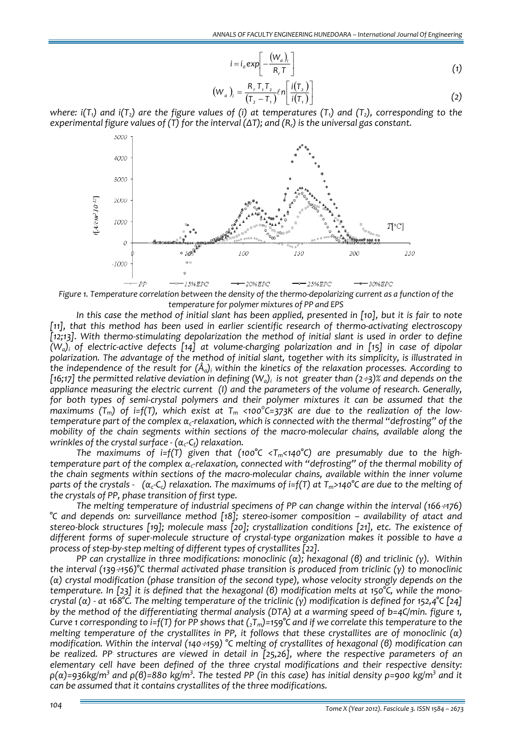$$
i = i_o \exp\left[-\frac{(W_a)_i}{R_r T}\right]
$$
\n(1)

$$
\left(W_a\right)_i = \frac{R_r T_i T_2}{\left(T_2 - T_1\right)} \ell n \left[\frac{i(T_2)}{i(T_1)}\right] \tag{2}
$$

where:  $i(T_1)$  and  $i(T_2)$  are the figure values of (i) at temperatures (T<sub>1</sub>) and (T<sub>2</sub>), corresponding to the *experimental figure values of (T) for the interval (ΔT); and (Rr) is the universal gas constant.*



Figure 1. Temperature correlation between the density of the thermo-depolarizing current as a function of the *temperature for polymer mixtures of PP and EPS*

In this case the method of initial slant has been applied, presented in [10], but it is fair to note *[11], that this method has been used in earlier scientific research of thermo‐activating electroscopy [12;13]. With thermo‐stimulating depolarization the method of initial slant is used in order to define*  $(W_a)$  of electric-active defects [14] at volume-charging polarization and in [15] in case of dipolar *polarization. The advantage of the method of initial slant, together with its simplicity, is illustrated in the independence of the result for (Åa)i within the kinetics of the relaxation processes. According to* [16;17] the permitted relative deviation in defining  $(W_a)$  is not greater than (2÷3)% and depends on the *appliance measuring the electric current (I) and the parameters of the volume of research. Generally, for both types of semi‐crystal polymers and their polymer mixtures it can be assumed that the* maximums (T<sub>m</sub>) of i=f(T), which exist at T<sub>m</sub> <100°C=373K are due to the realization of the lowtemperature part of the complex  $\alpha_c$ -relaxation, which is connected with the thermal "defrosting" of the *mobility of the chain segments within sections of the macro‐molecular chains, available along the wrinkles of the crystal surface ‐ (αc‐Cf) relaxation.*

*The maximums of i=f(T) given that (100°C <Tm<140°C) are presumably due to the high‐ temperature part of the complex αc‐relaxation, connected with "defrosting" of the thermal mobility of the chain segments within sections of the macro‐molecular chains, available within the inner volume* parts of the crystals -  $(\alpha_{c}C_{c})$  relaxation. The maximums of i=f(T) at  $T_{m}$ >140°C are due to the melting of *the crystals of PP, phase transition of first type.*

*The melting temperature of industrial specimens of PP can change within the interval (166*÷*176) °C and depends on: surveillance method [18]; stereo‐isomer composition – availability of atact and stereo‐block structures [19]; molecule mass [20]; crystallization conditions [21], etc. The existence of* different forms of super-molecule structure of crystal-type organization makes it possible to have a *process of step‐by‐step melting of different types of crystallites [22].*

PP can crystallize in three modifications: monoclinic ( $\alpha$ ); hexagonal ( $\beta$ ) and triclinic ( $\gamma$ ). Within *the interval (139*÷*156)°C thermal activated phase transition is produced from triclinic (γ) to monoclinic (α) crystal modification (phase transition of the second type), whose velocity strongly depends on the* temperature. In [23] it is defined that the hexagonal (6) modification melts at 150°C, while the monocrystal ( $\alpha$ ) - at 168°C. The melting temperature of the triclinic (y) modification is defined for 152,4°C [24] *by the method of the differentiating thermal analysis (DTA) at a warming speed of b=4C/min. figure 1,* Curve 1 corresponding to i=f(T) for PP shows that  $(\overline{X}_m)$ =159°C and if we correlate this temperature to the melting temperature of the crystallites in PP, it follows that these crystallites are of monoclinic ( $\alpha$ ) *modification. Within the interval (140*÷*159) °C melting of crystallites of hexagonal (β) modification can be realized. PP structures are viewed in detail in [25,26], where the respective parameters of an elementary cell have been defined of the three crystal modifications and their respective density:*  ρ(α)=936kg/m<sup>3</sup> and ρ(β)=880 kg/m<sup>3</sup>. The tested PP (in this case) has initial density ρ=900 kg/m<sup>3</sup> and it *can be assumed that it contains crystallites of the three modifications.*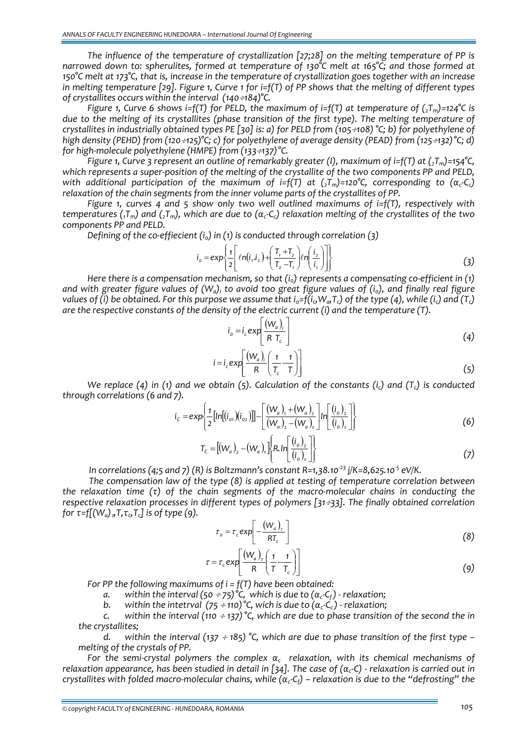*The influence of the temperature of crystallization [27;28] on the melting temperature of PP is narrowed down to: spherulites, formed at temperature of 130°C melt at 165°C; and those formed at* 150°C melt at 173°C, that is, increase in the temperature of crystallization goes together with an increase in melting temperature [29]. Figure 1, Curve 1 for  $i=f(T)$  of PP shows that the melting of different types *of crystallites occurs within the interval (140*÷*184)°C.*

*Figure* 1, *Curve* 6 *shows i=f(T) for PELD*, *the maximum of i=f(T) at temperature of*  $(2T_m) = 124^{\circ}C$  *is due to the melting of its crystallites (phase transition of the first type). The melting temperature of* crystallites in industrially obtained types PE [30] is: a) for PELD from (105 :108) °C; b) for polyethylene of *high density (PEHD) from (120*÷*125)°C; c) for polyethylene of average density (PEAD) from (125*÷*132)°C; d) for high‐molecule polyethylene (HMPE) from (133*÷*137)°C.*

*Figure 1, Curve 3 represent an outline of remarkably greater (I), maximum of i=f(T) at (2Tm)=154°C,* which represents a super-position of the melting of the crystallite of the two components PP and PELD, *with additional participation of the maximum of i*=f(T) *at* ( $\overline{J_m}$ )=120°C, *corresponding to* ( $\alpha_c$ -*C<sub>c</sub>*) *relaxation of the chain segments from the inner volume parts of the crystallites of PP.*

*Figure 1, curves 4 and 5 show only two well outlined maximums of i=f(T), respectively with* temperatures ( $T_m$ ) and ( $T_m$ ), which are due to ( $\alpha_c$ -C<sub>c</sub>) relaxation melting of the crystallites of the two *components PP and PELD.* 

*Defining of the co-effiecient* (*i<sub>0</sub>) in* (*1*) *is conducted through correlation* (3)

$$
i_o = \exp\left\{\frac{1}{2} \left[ \ln(i, i_2) + \left(\frac{T_1 + T_2}{T_2 - T_1}\right) \ln\left(\frac{i_2}{i_1}\right) \right] \right\}
$$
 (3)

*Here there is a compensation mechanism, so that (i0) represents a compensating co‐efficient in (1)* and with greater figure values of  $(W_a)$  to avoid too great figure values of  $(i_a)$ , and finally real figure values of (i) be obtained. For this purpose we assume that  $i_0 = f(i_0, W_a, T_c)$  of the type (4), while (i<sub>c</sub>) and ( $T_c$ ) *are the respective constants of the density of the electric current (i) and the temperature (T).*

$$
i_o = i_c \exp\left[\frac{(W_a)_i}{R \ T_c}\right]
$$
 (4)

$$
i = i_c \exp\left[\frac{(W_a)_i}{R} \left(\frac{1}{T_c} - \frac{1}{T}\right)\right]
$$
\n(5)

*We replace (4) in (1) and we obtain (5). Calculation of the constants (ic) and (Tc) is conducted through correlations (6 and 7).*

$$
i_{c} = exp\left\{\frac{1}{2}[ln[(i_{o1})(i_{o2})]] - \left[\frac{(W_{a})_{1} + (W_{a})_{2}}{(W_{a})_{2} - (W_{a})_{1}}\right]ln\left[\frac{(i_{o})_{2}}{(i_{o})_{1}}\right]\right\}
$$
(6)

$$
T_c = [(W_a)_2 - (W_a)_1] \left\{ R \cdot ln \left[ \frac{(i_o)_2}{(i_o)_1} \right] \right\}
$$
 (7)

*In correlations (4;5 and 7) (R) is Boltzmann's constant R=1,38.10‐<sup>23</sup> j/K=8,625.10‐<sup>5</sup> eV/K.* 

*The compensation law of the type (8) is applied at testing of temperature correlation between* the relaxation time  $(\tau)$  of the chain segments of the macro-molecular chains in conducting the *respective relaxation processes in different types of polymers [31*÷*33]. The finally obtained correlation for*  $\tau = f[(W_a)_a T, \tau_a T_c]$  *is of type* (9).

$$
\tau_o = \tau_c \exp\left[-\frac{(W_a)_\tau}{RT_c}\right]
$$
 (8)

$$
\tau = \tau_c \exp\left[\frac{(W_a)_\tau}{R} \left(\frac{1}{T} - \frac{1}{T_c}\right)\right]
$$
(9)

*For PP the following maximums of i = f(T) have been obtained:* 

*a. within the interval*  $(50 \div 75)^{\circ}$ C, *which is due to*  $(\alpha_c C_f)$  *- relaxation;*<br>*b. within the intetrval*  $(75 \div 110)^{\circ}$ C, wich is due to  $(\alpha_c C_c)$  *- relaxation:* 

*b. within the intetrval*  $(75 \div 110)$ <sup>°</sup>C, wich is due to  $(\alpha_c - C_c)$  - relaxation;

*c. within the interval (110* <sup>÷</sup> *137) °C, which are due to phase transition of the second the in the crystallites;*

*d. within the interval (137* <sup>÷</sup> *185) °C, which are due to phase transition of the first type – melting of the crystals of PP.* 

*For the semi‐crystal polymers the complex α<sup>c</sup> relaxation, with its chemical mechanisms of* relaxation appearance, has been studied in detail in [34]. The case of ( $\alpha_c$ -C) - relaxation is carried out in crystallites with folded macro-molecular chains, while  $(\alpha_c-C_f)$  – relaxation is due to the "defrosting" the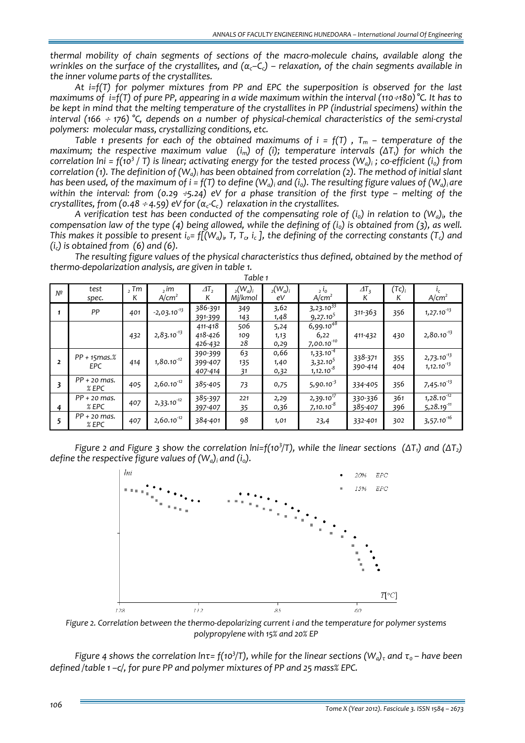*thermal mobility of chain segments of sections of the macro‐molecule chains, available along the* wrinkles on the surface of the crystallites, and  $(\alpha_{c}-C_{c})$  – relaxation, of the chain segments available in *the inner volume parts of the crystallites.* 

*At i=f(T) for polymer mixtures from PP and EPC the superposition is observed for the last* maximums of i=f(T) of pure PP, appearing in a wide maximum within the interval (110 ÷180) °C. It has to *be kept in mind that the melting temperature of the crystallites in PP (industrial specimens) within the* interval (166  $\div$  176) °C, depends on a number of physical-chemical characteristics of the semi-crystal *polymers: molecular mass, crystallizing conditions, etc.*

*Table* 1 presents for each of the obtained maximums of  $i = f(T)$ ,  $T_m$  – temperature of the *maximum; the respective maximum value (im) of (i); temperature intervals (ΔT1) for which the* correlation  $\ln i = f(10^3 / T)$  is linear; activating energy for the tested process  $(W_a)$ ; co-efficient  $(i_0)$  from correlation (1). The definition of  $(W_a)$  has been obtained from correlation (2). The method of initial slant has been used, of the maximum of  $i = f(T)$  to define  $(W_a)$  and  $(i_0)$ . The resulting figure values of  $(W_a)$  are within the interval: from (0.29  $\div$ 5.24) eV for a phase transition of the first type – melting of the *crystallites, from* (0.48 ÷ 4.59) *eV for*  $(α<sub>c</sub> -C<sub>c</sub>)$  *relaxation in the crystallites.* 

*A* verification test has been conducted of the compensating role of  $(i_0)$  in relation to  $(W_a)_i$ , the compensation law of the type (4) being allowed, while the defining of  $(i_0)$  is obtained from (3), as well. This makes it possible to present  $i_0 = f[(W_a)_i, T, T_a, i_c]$ , the defining of the correcting constants (T<sub>c</sub>) and *(ic) is obtained from (6) and (6).* 

*The resulting figure values of the physical characteristics thus defined, obtained by the method of thermo‐depolarization analysis, are given in table 1. Table 1*

|                | TUDIC I                    |             |                           |                               |                          |                      |                                                                     |                    |               |                                    |  |  |
|----------------|----------------------------|-------------|---------------------------|-------------------------------|--------------------------|----------------------|---------------------------------------------------------------------|--------------------|---------------|------------------------------------|--|--|
| $N^{\circ}$    | test<br>spec.              | $2$ Tm<br>К | , im<br>A/cm <sup>2</sup> | $\Delta T$ <sub>2</sub><br>К  | $_{2}(W_a)_i$<br>Mj/kmol | $_{2}(W_a)_i$<br>eV  | $2^{\mathsf{i}}$<br>A/cm <sup>2</sup>                               | $\Delta T_3$<br>К  | $(Tc)_i$<br>K | A/cm <sup>2</sup>                  |  |  |
|                | PP                         | 401         | $-2,03.10^{-13}$          | 386-391<br>391-399            | 349<br>143               | 3,62<br>1,48         | $3,23.10^{33}$<br>9,27.10 <sup>5</sup>                              | 311-363            | 356           | $1,27.10^{13}$                     |  |  |
|                |                            | 432         | $2,83.10^{13}$            | 411-418<br>418-426<br>426-432 | 506<br>109<br>28         | 5,24<br>1,13<br>0,29 | $6,99.10^{48}$<br>6,22<br>$7,00.10^{-10}$                           | 411-432            | 430           | $2,80.10^{13}$                     |  |  |
| $\overline{2}$ | PP + 15mas.%<br><b>EPC</b> | 414         | $1,80.10^{-12}$           | 390-399<br>399-407<br>407-414 | 63<br>135<br>31          | 0,66<br>1,40<br>0,32 | $1,33.10^{-\overline{4}}$<br>3,32.10 <sup>5</sup><br>$1,12.10^{-8}$ | 338-371<br>390-414 | 355<br>404    | $2,73.10^{-13}$<br>$1,12.10^{-13}$ |  |  |
| 3              | $PP + 20$ mas.<br>$%$ EPC  | 405         | $2,60.10^{-12}$           | 385-405                       | 73                       | 0,75                 | $5,90.10-3$                                                         | 334-405            | 356           | $7,45.10^{13}$                     |  |  |
| 4              | $PP + 20$ mas.<br>$%$ EPC  | 407         | $2,33.10^{-12}$           | 385-397<br>397-407            | 221<br>35                | 2,29<br>0,36         | $2,39.10^{17}$<br>$7,10.10^{-8}$                                    | 330-336<br>385-407 | 361<br>396    | $1,28.10^{-12}$<br>$5,28.19-11$    |  |  |
| 5              | $PP + 20$ mas.<br>$%$ EPC  | 407         | $2,60.10^{-12}$           | 384-401                       | 98                       | 1,01                 | 23,4                                                                | 332-401            | 302           | $3,57.10^{-16}$                    |  |  |

Figure 2 and Figure 3 show the correlation Ini=f(10<sup>3</sup>/T), while the linear sections ( $\Delta T_1$ ) and ( $\Delta T_2$ ) *define the respective figure values of (Wa)i and (io).*



*Figure 2. Correlation between the thermo‐depolarizing current i and the temperature for polymer systems polypropylene with 15% and 20% EP*

Figure 4 shows the correlation Int= f(10<sup>3</sup>/T), while for the linear sections  $(W_a)_\tau$  and  $\tau_o$  – have been *defined /table 1 –c/, for pure PP and polymer mixtures of PP and 25 mass% EPC.*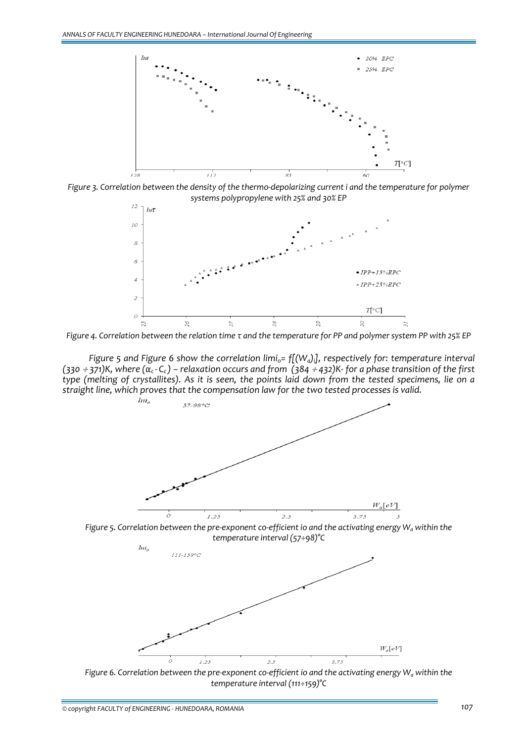

Figure 3. Correlation between the density of the thermo-depolarizing current i and the temperature for polymer *systems polypropylene with 25% and 30% EP*



Figure 4. Correlation between the relation time t and the temperature for PP and polymer system PP with 25% EP

*Figure 5 and Figure 6 show the correlation limio= f[(Wa)i], respectively for: temperature interval*  $(330 \div 371)$ K, where  $(\alpha_c - C_c)$  – relaxation occurs and from  $(384 \div 432)$ K- for a phase transition of the first type (melting of crystallites). As it is seen, the points laid down from the tested specimens, lie on a *straight line, which proves that the compensation law for the two tested processes is valid.*



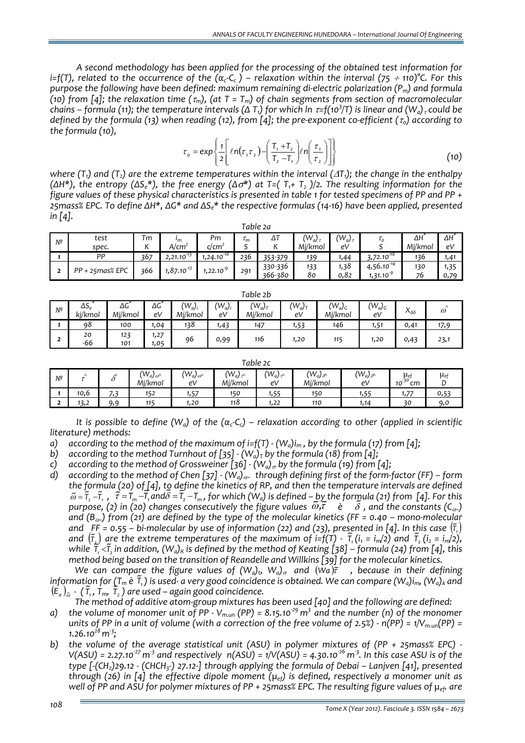*A second methodology has been applied for the processing of the obtained test information for* i=f(T), related to the occurrence of the  $(\alpha_c-C_c)$  – relaxation within the interval (75 ÷ 110)°C. For this *purpose the following have been defined: maximum remaining di‐electric polarization (Pm) and formula* (10) from [4]; the relaxation time  $(\tau_m)$ , (at T = T<sub>m</sub>) of chain segments from section of macromolecular chains – formula (11); the temperature intervals ( $\Delta$  T,) for which ln  $\tau$ =f(10<sup>3</sup>/T) is linear and (W<sub>a) <sup>,</sup> could be</sub> defined by the formula (13) when reading (12), from [4]; the pre-exponent co-efficient ( $\tau_0$ ) according to *the formula (10),* 

$$
\tau_o = \exp\left\{\frac{1}{2} \left[ \ln(\tau, \tau_z) - \left(\frac{T_1 + T_2}{T_2 - T_1}\right) \ln\left(\frac{\tau_1}{\tau_2}\right) \right] \right\}
$$
(10)

where (T<sub>1</sub>) and (T<sub>2</sub>) are the extreme temperatures within the interval (ΔT<sub>1</sub>); the change in the enthalpy  $(\Delta H^*),$  the entropy  $(\Delta S_e^*),$  the free energy  $(\Delta \sigma^*)$  at T=(T<sub>1</sub>+T<sub>2</sub>)/2. The resulting information for the figure values of these physical characteristics is presented in table 1 for tested specimens of PP and PP + 25mass% EPC. To define  $\Delta H^*$ ,  $\Delta G^*$  and  $\Delta S_c^*$  the respective formulas (14-16) have been applied, presented *in [4].*

| Table 2a |                 |                        |                 |                 |                      |         |              |              |                |         |      |  |
|----------|-----------------|------------------------|-----------------|-----------------|----------------------|---------|--------------|--------------|----------------|---------|------|--|
| Nº       | test            | Тm                     | $\mathbf{m}$    | Pm              | $\iota$ <sub>m</sub> | ΔΙ      | $(W_a)_\tau$ | $(W_a)_\tau$ | $\iota_0$      | ΔΗ      | ΔHΓ  |  |
|          | spec.           | $\overline{ }$         | A/cm*           | c/cm            | -                    |         | Mi/kmol      | e٧           |                | Mj/kmol | e٧   |  |
|          | PP              | 367                    | $2,21.10^{-13}$ | $1,24.10^{-10}$ | 236                  | 353-379 | 139          | 44،،         | $3,72.10^{18}$ | 136     | 1,41 |  |
|          | PP + 25mas% EPC | $1,87.10^{-12}$<br>366 |                 | $1,22.10^{9}$   | 291                  | 330-336 | 133          | 1,38         | $4,56.10^{14}$ | 130     | 1,35 |  |
|          |                 |                        |                 |                 |                      | 366-380 | 80           | 0,82         | $1,31.10^{9}$  | 76      | 0,79 |  |

|    | Table 2b                |               |              |                      |                 |                      |                   |                                 |                            |                |                       |  |  |  |
|----|-------------------------|---------------|--------------|----------------------|-----------------|----------------------|-------------------|---------------------------------|----------------------------|----------------|-----------------------|--|--|--|
| Nº | $\Delta S_e$<br>ki/kmol | ΔG<br>Mi/kmol | ΔG<br>eV     | $(W_a)_i$<br>Mj/kmol | $(W_a)_i$<br>eV | $(W_a)_T$<br>Mi/kmol | $(W_a)_{T}$<br>e٧ | $(W_a)_{\mathsf{G}}$<br>Mi/kmol | $(W_a)_{\mathsf{G}}$<br>eV | $\cdot$<br>Λôô | $\lambda$<br>$\omega$ |  |  |  |
|    | 98                      | 100           | 1,04         | 138                  | 1,43            | 147                  | 1,53              | 146                             | 1,51                       | 0,41           | 17,9                  |  |  |  |
|    | 20<br>-66               | 123<br>101    | 1,27<br>1,05 | 96                   | 0,99            | 116                  | 1,20              | 115                             | 1,20                       | 0,43           | 23,1                  |  |  |  |

| Table 2c |           |           |                             |                        |                           |                      |                             |                        |                               |            |  |  |
|----------|-----------|-----------|-----------------------------|------------------------|---------------------------|----------------------|-----------------------------|------------------------|-------------------------------|------------|--|--|
| Nº       | $\lambda$ | o         | $(W_a)_{\omega}$<br>Mi/kmol | $(W_a)_{\omega}$<br>eV | $(W_a)_{\tau}$<br>Mi/kmol | $(W_a)_{\tau}$<br>eV | $(W_a)_{\delta}$<br>Mi/kmol | $(W_a)_{\delta}$<br>eV | $\mu_{e}$<br>$10^{-30}$<br>cm | $\mu_{ef}$ |  |  |
|          | 10.6      | 77<br>د ر | 152                         | 1,57                   | 150                       | 1,55                 | 150                         | 1,55                   | 1,77                          | 0,53       |  |  |
|          | 3,2       | Q, Q      | 115                         | 1,20                   | 118                       | 1,22                 | 110                         | 1,14                   | $\mathbf{a}$                  | 9.0        |  |  |

It is possible to define ( $W_a$ ) of the ( $\alpha_c$ -C<sub>c</sub>) – relaxation according to other (applied in scientific *literature) methods:* 

a) according to the method of the maximum of i=f(T)  $-W_a$ )i<sub>m</sub>, by the formula (17) from [4];

*b*) *according to the method Turnhout of*  $[35]$   $\cdot$   $(W_a)_T$  *by the formula* (18) *from*  $[4]$ ;

*c*) *according to the method of Grossweiner*  $[36]$  *·*  $(W_a)_\sigma$  *by the formula* (19) *from* [4];

d) according to the method of Chen [37]  $-(W_a)_{\alpha}$  through defining first of the form-factor (FF) – form the formula (20) of [4], to define the kinetics of RP, and then the temperature intervals are defined  $\tilde{\omega} = \tilde{r}_z - \tilde{r}_t$ ,  $\tilde{\tau} = T_m - \overline{T}_t$  and  $\tilde{\omega} = \tilde{T}_z - T_m$ , for which (W<sub>a</sub>) is defined – by the formula (21) from [4]. For this  $\omega = 1, -1, 1, -1, \dots$  and  $\omega = 1, -1, \dots$ , for which  $(v_{\alpha})$  is defined – by the formula (21) from [4]. For this purpose, (2) in (20) changes consecutively the figure values  $\tilde{\omega}, \tilde{\tau} \quad \tilde{e} \quad \tilde{\delta}$ , and the constants ( and  $(B_{\alpha})$  from (21) are defined by the type of the molecular kinetics (FF = 0.40 – mono-molecular and  $F_F = 0.55 - bi-molecular by use of information (22) and (23), presented in [4]. In this case  $(\tilde{t}, \tilde{t})$$ and  $(\tilde{r}_x)$  are the extreme temperatures of the maximum of i=f(T)  $\cdot$   $\tilde{r}_1$  (i<sub>1</sub> = i<sub>m</sub>/2) and  $\tilde{r}_2$  (i<sub>2</sub> = i<sub>m</sub>/2), while  $\tilde{T}_1 < \tilde{T}_2$  in addition,  $(W_a)_K$  is defined by the method of Keating [38] – formula (24) from [4], this *method being based on the transition of Reandelle and Willkins [39] for the molecular kinetics.*

We can compare the figure values of  $(W_a)_b$ ,  $W_a)_\sigma$  and  $(W_a)\tilde{r}$ , because in their defining information for  $(T_m e \tilde{T}_n)$  is used- a very good coincidence is obtained. We can compare  $(W_a)_{i_m} (W_a)_{k_n}$  and  $(E_a)_{\tilde{\omega}}^{\tilde{\omega}}$   $\cdot$   $(\tilde{T}_1, T_m, \tilde{T}_2)$  are used – again good coincidence.

- *The method of additive atom‐group mixtures has been used [40] and the following are defined:*  a) the volume of monomer unit of PP -  $V_{m,un}$  (PP) = 8.15.10<sup>29</sup> m<sup>3</sup> and the number (n) of the monomer units of PP in a unit of volume (with a correction of the free volume of 2.5%) -  $n(PP) = 1/V_{m\nu} (PP) =$ *1.26.1028m‐<sup>3</sup> ;*
- *b) the volume of the average statistical unit (ASU) in polymer mixtures of (PP + 25mass% EPC) ‐*   $V(ASU)$  = 2.27.10<sup>-27</sup> m<sup>3</sup> and respectively  $n(ASU)$  = 1/V(ASU) = 4.30.10<sup>-26</sup> m<sup>3</sup>. In this case ASU is of the type  $[-(CH<sub>2</sub>)$ 29.12 - (CHCH<sub>3</sub>-) 27.12-] through applying the formula of Debai – Laniven [41], presented *through (26) in [4] the effective dipole moment (µef) is defined, respectively a monomer unit as* well of PP and ASU for polymer mixtures of PP + 25 mass% EPC. The resulting figure values of  $\mu_{ef}$  are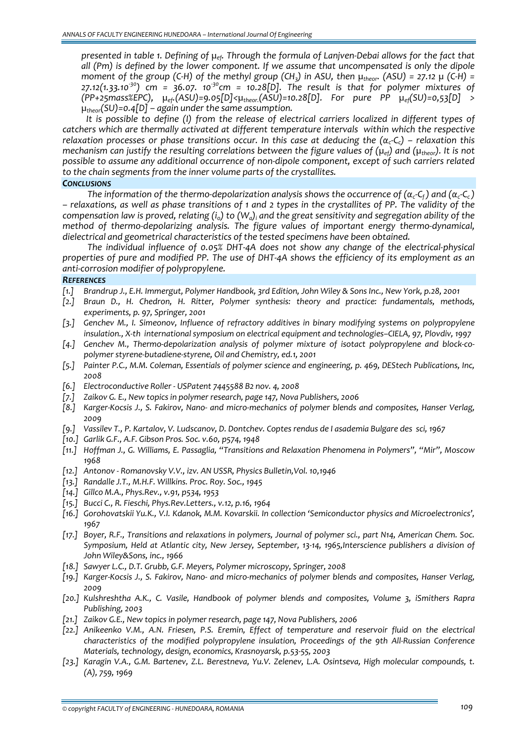presented in table 1. Defining of  $\mu_{ef}$ . Through the formula of Lanjven-Debai allows for the fact that *all (Pm) is defined by the lower component. If we assume that uncompensated is only the dipole* moment of the group (C-H) of the methyl group (CH<sub>3</sub>) in ASU, then  $\mu_{theor}$ . (ASU) = 27.12  $\mu$  (C-H) = 27.12(1.33.10<sup>30</sup>) cm = 36.07. 10<sup>30</sup>cm = 10.28[D]. The result is that for polymer mixtures of *(PP+25mass%EPC), µef.(ASU)=9.05[D]<µtheor.(ASU)=10.28[D]. For pure PP µef(SU)=0,53[D] > µtheor(SU)=0.4[D] – again under the same assumption.*

*It is possible to define (I) from the release of electrical carriers localized in different types of catchers which are thermally activated at different temperature intervals within which the respective* relaxation processes or phase transitions occur. In this case at deducing the  $(\alpha_c-\zeta_c)$  – relaxation this mechanism can justify the resulting correlations between the figure values of  $(\mu_{\text{eff}})$  and  $(\mu_{\text{theory}})$ . It is not *possible to assume any additional occurrence of non‐dipole component, except of such carriers related to the chain segments from the inner volume parts of the crystallites.*

## *CONCLUSIONS*

The information of the thermo-depolarization analysis shows the occurrence of ( $\alpha_c$ -C<sub>f</sub>) and ( $\alpha_c$ -C<sub>c</sub>) - relaxations, as well as phase transitions of 1 and 2 types in the crystallites of PP. The validity of the compensation law is proved, relating  $(i_0)$  to  $(W_a)_i$  and the great sensitivity and segregation ability of the *method of thermo‐depolarizing analysis. The figure values of important energy thermo‐dynamical, dielectrical and geometrical characteristics of the tested specimens have been obtained.*

*The individual influence of 0.05% DHT‐4A does not show any change of the electrical‐physical* properties of pure and modified PP. The use of DHT-4A shows the efficiency of its employment as an *anti‐corrosion modifier of polypropylene.*

### *REFERENCES*

- [1.] Brandrup J., E.H. Immergut, Polymer Handbook, 3rd Edition, John Wiley & Sons Inc., New York, p.28, 2001
- *[2.] Braun D., H. Chedron, H. Ritter, Polymer synthesis: theory and practice: fundamentals, methods, experiments, p. 97, Springer, 2001*
- *[3.] Genchev M., I. Simeonov, Influence of refractory additives in binary modifying systems on polypropylene insulation., Х‐th international symposium on electrical equipment and technologies–CIELA, 97, Plovdiv, 1997*
- [4.] Genchey M., Thermo-depolarization analysis of polymer mixture of isotact polypropylene and block-co*polymer styrene‐butadiene‐styrene, Oil and Chemistry, ed.1, 2001*
- [5.] Painter P.C., M.M. Coleman, Essentials of polymer science and engineering, p. 469, DEStech Publications, Inc, *2008*
- *[6.] Electroconductive Roller ‐ USPatent 7445588 B2 nov. 4, 2008*
- *[7.] Zaikov G. E., New topics in polymer research, page 147, Nova Publishers, 2006*
- [8.] Karger-Kocsis J., S. Fakirov, Nano- and micro-mechanics of polymer blends and composites, Hanser Verlag, *2009*
- [9.] Vassilev T., P. Kartalov, V. Ludscanov, D. Dontchev. Coptes rendus de l asademia Bulgare des sci, 1967
- *[10.] Garlik G.F., A.F. Gibson Pros. Soc. v.60, p574, 1948*
- *[11.] Hoffman J., G. Williams, E. Passaglia, "Transitions and Relaxation Phenomena in Polymers", "Mir", Moscow 1968*
- *[12.] Antonov ‐ Romanovsky V.V., izv. AN USSR, Physics Bulletin,Vol. 10,1946*
- *[13.] Randalle J.T., M.H.F. Willkins. Proc. Roy. Soc., 1945*
- *[14.] Gillco M.A., Phys.Rev., v.91, p534, 1953*
- *[15.] Bucci C., R. Fieschi, Phys.Rev.Letters., v.12, p.16, 1964*
- *[16.] Gorohovatskii Yu.K., V.I. Kdanok, M.M. Kovarskii. In collection 'Semiconductor physics and Microelectronics', 1967*
- [17.] Boyer, R.F., Transitions and relaxations in polymers, Journal of polymer sci., part N14, American Chem. Soc. *Symposium, Held at Atlantic city, New Jersey, September, 13‐14, 1965,Interscience publishers a division of John Wiley&Sons, inc., 1966*
- *[18.] Sawyer L.C., D.T. Grubb, G.F. Meyers, Polymer microscopy, Springer, 2008*
- [19.] Karger-Kocsis J., S. Fakirov, Nano- and micro-mechanics of polymer blends and composites, Hanser Verlag, *2009*
- *[20.] Kulshreshtha A.K., C. Vasile, Handbook of polymer blends and composites, Volume 3, iSmithers Rapra Publishing, 2003*
- *[21.] Zaikov G.E., New topics in polymer research, page 147, Nova Publishers, 2006*
- *[22.] Anikeenko V.M., A.N. Friesen, P.S. Eremin, Effect of temperature and reservoir fluid on the electrical characteristics of the modified polypropylene insulation, Proceedings of the 9th All‐Russian Conference Materials, technology, design, economics, Krasnoyarsk, p.53‐55, 2003*
- *[23.] Karagin V.A., G.M. Bartenev, Z.L. Berestneva, Yu.V. Zelenev, L.A. Osintseva, High molecular compounds, t. (A), 759, 1969*